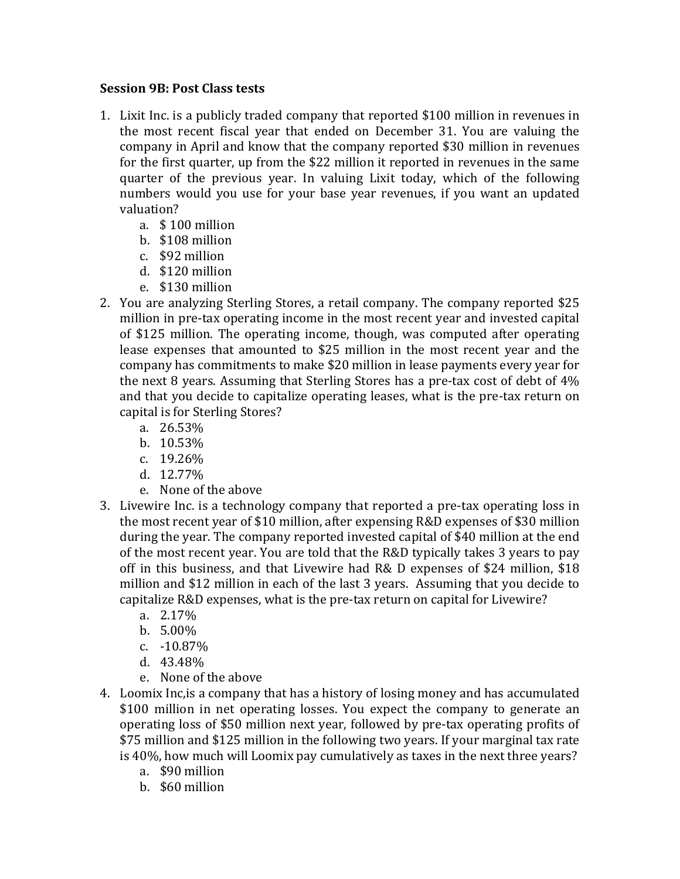## **Session 9B: Post Class tests**

- 1. Lixit Inc. is a publicly traded company that reported \$100 million in revenues in the most recent fiscal year that ended on December 31. You are valuing the company in April and know that the company reported \$30 million in revenues for the first quarter, up from the  $$22$  million it reported in revenues in the same quarter of the previous year. In valuing Lixit today, which of the following numbers would you use for your base year revenues, if you want an updated valuation?
	- a. \$100 million
	- b. \$108 million
	- c. \$92 million
	- d. \$120 million
	- e. \$130 million
- 2. You are analyzing Sterling Stores, a retail company. The company reported \$25 million in pre-tax operating income in the most recent year and invested capital of \$125 million. The operating income, though, was computed after operating lease expenses that amounted to \$25 million in the most recent year and the company has commitments to make \$20 million in lease payments every year for the next 8 years. Assuming that Sterling Stores has a pre-tax cost of debt of  $4\%$ and that you decide to capitalize operating leases, what is the pre-tax return on capital is for Sterling Stores?
	- a. 26.53%
	- b. 10.53%
	- c. 19.26%
	- d. 12.77%
	- e. None of the above
- 3. Livewire Inc. is a technology company that reported a pre-tax operating loss in the most recent year of \$10 million, after expensing R&D expenses of \$30 million during the year. The company reported invested capital of \$40 million at the end of the most recent year. You are told that the R&D typically takes 3 years to pay off in this business, and that Livewire had R& D expenses of \$24 million,  $$18$ million and \$12 million in each of the last 3 years. Assuming that you decide to capitalize R&D expenses, what is the pre-tax return on capital for Livewire?
	- a. 2.17%
	- b. 5.00%
	- c. -10.87%
	- d. 43.48%
	- e. None of the above
- 4. Loomix Inc, is a company that has a history of losing money and has accumulated \$100 million in net operating losses. You expect the company to generate an operating loss of \$50 million next year, followed by pre-tax operating profits of \$75 million and \$125 million in the following two years. If your marginal tax rate is 40%, how much will Loomix pay cumulatively as taxes in the next three years?
	- a. \$90 million
	- b. \$60 million